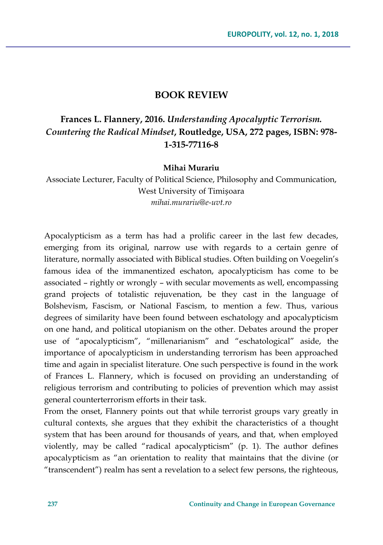## **BOOK REVIEW**

## **Frances L. Flannery, 2016.** *Understanding Apocalyptic Terrorism. Countering the Radical Mindset***, Routledge, USA, 272 pages, ISBN: 978- 1-315-77116-8**

## **Mihai Murariu**

Associate Lecturer, Faculty of Political Science, Philosophy and Communication, West University of Timișoara *mihai.murariu@e-uvt.ro*

Apocalypticism as a term has had a prolific career in the last few decades, emerging from its original, narrow use with regards to a certain genre of literature, normally associated with Biblical studies. Often building on Voegelin's famous idea of the immanentized eschaton, apocalypticism has come to be associated – rightly or wrongly – with secular movements as well, encompassing grand projects of totalistic rejuvenation, be they cast in the language of Bolshevism, Fascism, or National Fascism, to mention a few. Thus, various degrees of similarity have been found between eschatology and apocalypticism on one hand, and political utopianism on the other. Debates around the proper use of "apocalypticism", "millenarianism" and "eschatological" aside, the importance of apocalypticism in understanding terrorism has been approached time and again in specialist literature. One such perspective is found in the work of Frances L. Flannery, which is focused on providing an understanding of religious terrorism and contributing to policies of prevention which may assist general counterterrorism efforts in their task.

From the onset, Flannery points out that while terrorist groups vary greatly in cultural contexts, she argues that they exhibit the characteristics of a thought system that has been around for thousands of years, and that, when employed violently, may be called "radical apocalypticism" (p. 1). The author defines apocalypticism as "an orientation to reality that maintains that the divine (or "transcendent") realm has sent a revelation to a select few persons, the righteous,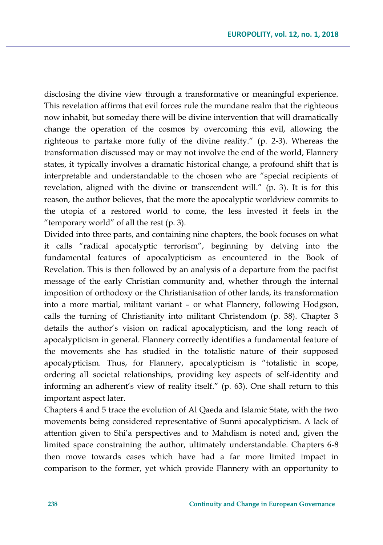disclosing the divine view through a transformative or meaningful experience. This revelation affirms that evil forces rule the mundane realm that the righteous now inhabit, but someday there will be divine intervention that will dramatically change the operation of the cosmos by overcoming this evil, allowing the righteous to partake more fully of the divine reality." (p. 2-3). Whereas the transformation discussed may or may not involve the end of the world, Flannery states, it typically involves a dramatic historical change, a profound shift that is interpretable and understandable to the chosen who are "special recipients of revelation, aligned with the divine or transcendent will." (p. 3). It is for this reason, the author believes, that the more the apocalyptic worldview commits to the utopia of a restored world to come, the less invested it feels in the "temporary world" of all the rest (p. 3).

Divided into three parts, and containing nine chapters, the book focuses on what it calls "radical apocalyptic terrorism", beginning by delving into the fundamental features of apocalypticism as encountered in the Book of Revelation. This is then followed by an analysis of a departure from the pacifist message of the early Christian community and, whether through the internal imposition of orthodoxy or the Christianisation of other lands, its transformation into a more martial, militant variant – or what Flannery, following Hodgson, calls the turning of Christianity into militant Christendom (p. 38). Chapter 3 details the author's vision on radical apocalypticism, and the long reach of apocalypticism in general. Flannery correctly identifies a fundamental feature of the movements she has studied in the totalistic nature of their supposed apocalypticism. Thus, for Flannery, apocalypticism is "totalistic in scope, ordering all societal relationships, providing key aspects of self-identity and informing an adherent's view of reality itself." (p. 63). One shall return to this important aspect later.

Chapters 4 and 5 trace the evolution of Al Qaeda and Islamic State, with the two movements being considered representative of Sunni apocalypticism. A lack of attention given to Shi'a perspectives and to Mahdism is noted and, given the limited space constraining the author, ultimately understandable. Chapters 6-8 then move towards cases which have had a far more limited impact in comparison to the former, yet which provide Flannery with an opportunity to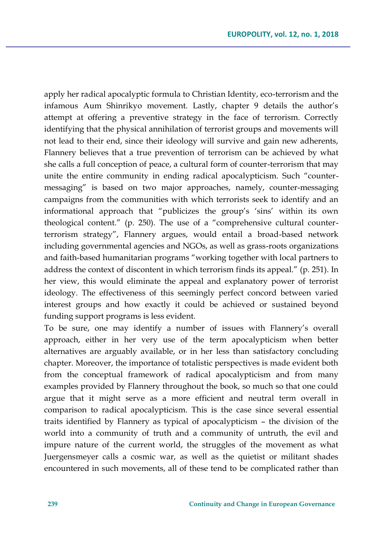apply her radical apocalyptic formula to Christian Identity, eco-terrorism and the infamous Aum Shinrikyo movement. Lastly, chapter 9 details the author's attempt at offering a preventive strategy in the face of terrorism. Correctly identifying that the physical annihilation of terrorist groups and movements will not lead to their end, since their ideology will survive and gain new adherents, Flannery believes that a true prevention of terrorism can be achieved by what she calls a full conception of peace, a cultural form of counter-terrorism that may unite the entire community in ending radical apocalypticism. Such "countermessaging" is based on two major approaches, namely, counter-messaging campaigns from the communities with which terrorists seek to identify and an informational approach that "publicizes the group's 'sins' within its own theological content." (p. 250). The use of a "comprehensive cultural counterterrorism strategy", Flannery argues, would entail a broad-based network including governmental agencies and NGOs, as well as grass-roots organizations and faith-based humanitarian programs "working together with local partners to address the context of discontent in which terrorism finds its appeal." (p. 251). In her view, this would eliminate the appeal and explanatory power of terrorist ideology. The effectiveness of this seemingly perfect concord between varied interest groups and how exactly it could be achieved or sustained beyond funding support programs is less evident.

To be sure, one may identify a number of issues with Flannery's overall approach, either in her very use of the term apocalypticism when better alternatives are arguably available, or in her less than satisfactory concluding chapter. Moreover, the importance of totalistic perspectives is made evident both from the conceptual framework of radical apocalypticism and from many examples provided by Flannery throughout the book, so much so that one could argue that it might serve as a more efficient and neutral term overall in comparison to radical apocalypticism. This is the case since several essential traits identified by Flannery as typical of apocalypticism – the division of the world into a community of truth and a community of untruth, the evil and impure nature of the current world, the struggles of the movement as what Juergensmeyer calls a cosmic war, as well as the quietist or militant shades encountered in such movements, all of these tend to be complicated rather than